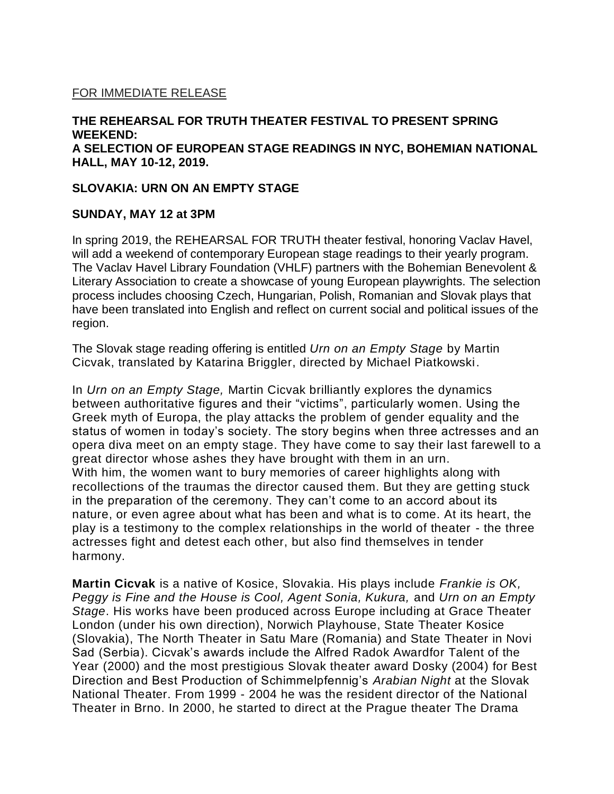# FOR IMMEDIATE RELEASE

### **THE REHEARSAL FOR TRUTH THEATER FESTIVAL TO PRESENT SPRING WEEKEND: A SELECTION OF EUROPEAN STAGE READINGS IN NYC, BOHEMIAN NATIONAL HALL, MAY 10-12, 2019.**

#### **SLOVAKIA: URN ON AN EMPTY STAGE**

#### **SUNDAY, MAY 12 at 3PM**

In spring 2019, the REHEARSAL FOR TRUTH theater festival, honoring Vaclav Havel, will add a weekend of contemporary European stage readings to their yearly program. The Vaclav Havel Library Foundation (VHLF) partners with the Bohemian Benevolent & Literary Association to create a showcase of young European playwrights. The selection process includes choosing Czech, Hungarian, Polish, Romanian and Slovak plays that have been translated into English and reflect on current social and political issues of the region.

The Slovak stage reading offering is entitled *Urn on an Empty Stage* by Martin Cicvak, translated by Katarina Briggler, directed by Michael Piatkowski.

In *Urn on an Empty Stage,* Martin Cicvak brilliantly explores the dynamics between authoritative figures and their "victims", particularly women. Using the Greek myth of Europa, the play attacks the problem of gender equality and the status of women in today's society. The story begins when three actresses and an opera diva meet on an empty stage. They have come to say their last farewell to a great director whose ashes they have brought with them in an urn. With him, the women want to bury memories of career highlights along with recollections of the traumas the director caused them. But they are getting stuck in the preparation of the ceremony. They can't come to an accord about its nature, or even agree about what has been and what is to come. At its heart, the play is a testimony to the complex relationships in the world of theater - the three actresses fight and detest each other, but also find themselves in tender harmony.

**Martin Cicvak** is a native of Kosice, Slovakia. His plays include *Frankie is OK, Peggy is Fine and the House is Cool, Agent Sonia, Kukura,* and *Urn on an Empty Stage*. His works have been produced across Europe including at Grace Theater London (under his own direction), Norwich Playhouse, State Theater Kosice (Slovakia), The North Theater in Satu Mare (Romania) and State Theater in Novi Sad (Serbia). Cicvak's awards include the Alfred Radok Awardfor Talent of the Year (2000) and the most prestigious Slovak theater award Dosky (2004) for Best Direction and Best Production of Schimmelpfennig's *Arabian Night* at the Slovak National Theater. From 1999 - 2004 he was the resident director of the National Theater in Brno. In 2000, he started to direct at the Prague theater The Drama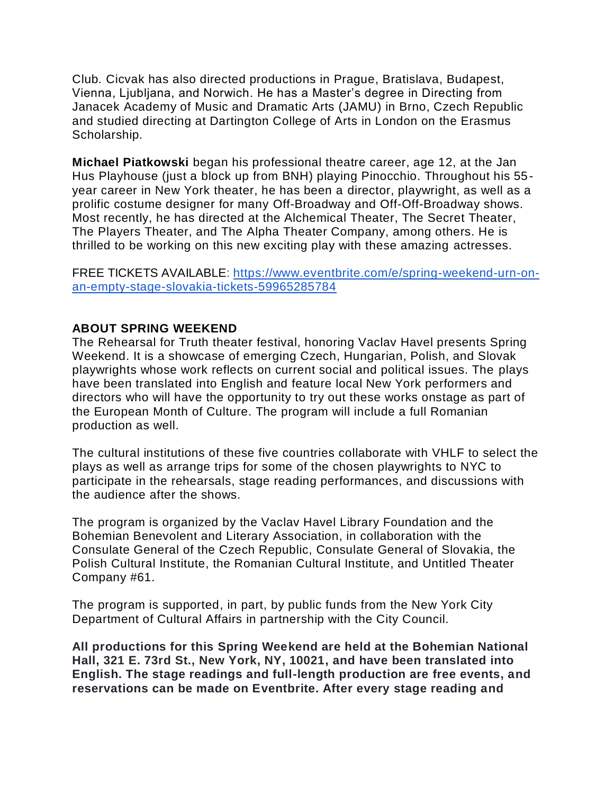Club*.* Cicvak has also directed productions in Prague, Bratislava, Budapest, Vienna, Ljubljana, and Norwich. He has a Master's degree in Directing from Janacek Academy of Music and Dramatic Arts (JAMU) in Brno, Czech Republic and studied directing at Dartington College of Arts in London on the Erasmus Scholarship*.*

**Michael Piatkowski** began his professional theatre career, age 12, at the Jan Hus Playhouse (just a block up from BNH) playing Pinocchio. Throughout his 55 year career in New York theater, he has been a director, playwright, as well as a prolific costume designer for many Off-Broadway and Off-Off-Broadway shows. Most recently, he has directed at the Alchemical Theater, The Secret Theater, The Players Theater, and The Alpha Theater Company, among others. He is thrilled to be working on this new exciting play with these amazing actresses.

FREE TICKETS AVAILABLE: [https://www.eventbrite.com/e/spring-weekend-urn-on](https://www.eventbrite.com/e/spring-weekend-urn-on-an-empty-stage-slovakia-tickets-59965285784)[an-empty-stage-slovakia-tickets-59965285784](https://www.eventbrite.com/e/spring-weekend-urn-on-an-empty-stage-slovakia-tickets-59965285784)

## **ABOUT SPRING WEEKEND**

The Rehearsal for Truth theater festival, honoring Vaclav Havel presents Spring Weekend. It is a showcase of emerging Czech, Hungarian, Polish, and Slovak playwrights whose work reflects on current social and political issues. The plays have been translated into English and feature local New York performers and directors who will have the opportunity to try out these works onstage as part of the European Month of Culture. The program will include a full Romanian production as well.

The cultural institutions of these five countries collaborate with VHLF to select the plays as well as arrange trips for some of the chosen playwrights to NYC to participate in the rehearsals, stage reading performances, and discussions with the audience after the shows.

The program is organized by the Vaclav Havel Library Foundation and the Bohemian Benevolent and Literary Association, in collaboration with the Consulate General of the Czech Republic, Consulate General of Slovakia, the Polish Cultural Institute, the Romanian Cultural Institute, and Untitled Theater Company #61.

The program is supported, in part, by public funds from the New York City Department of Cultural Affairs in partnership with the City Council.

**All productions for this Spring Weekend are held at the Bohemian National Hall, 321 E. 73rd St., New York, NY, 10021, and have been translated into English. The stage readings and full-length production are free events, and reservations can be made on Eventbrite. After every stage reading and**